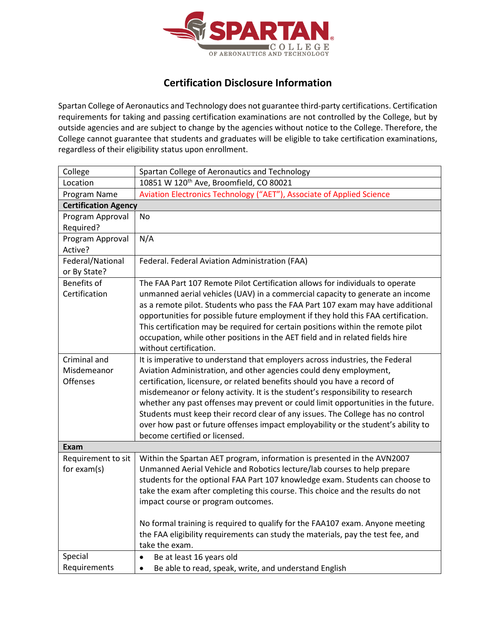

## **Certification Disclosure Information**

Spartan College of Aeronautics and Technology does not guarantee third-party certifications. Certification requirements for taking and passing certification examinations are not controlled by the College, but by outside agencies and are subject to change by the agencies without notice to the College. Therefore, the College cannot guarantee that students and graduates will be eligible to take certification examinations, regardless of their eligibility status upon enrollment.

| College                     | Spartan College of Aeronautics and Technology                                     |
|-----------------------------|-----------------------------------------------------------------------------------|
| Location                    | 10851 W 120 <sup>th</sup> Ave, Broomfield, CO 80021                               |
| Program Name                | Aviation Electronics Technology ("AET"), Associate of Applied Science             |
| <b>Certification Agency</b> |                                                                                   |
| Program Approval            | <b>No</b>                                                                         |
| Required?                   |                                                                                   |
| Program Approval            | N/A                                                                               |
| Active?                     |                                                                                   |
| Federal/National            | Federal. Federal Aviation Administration (FAA)                                    |
| or By State?                |                                                                                   |
| <b>Benefits of</b>          | The FAA Part 107 Remote Pilot Certification allows for individuals to operate     |
| Certification               | unmanned aerial vehicles (UAV) in a commercial capacity to generate an income     |
|                             | as a remote pilot. Students who pass the FAA Part 107 exam may have additional    |
|                             | opportunities for possible future employment if they hold this FAA certification. |
|                             | This certification may be required for certain positions within the remote pilot  |
|                             | occupation, while other positions in the AET field and in related fields hire     |
|                             | without certification.                                                            |
| Criminal and                | It is imperative to understand that employers across industries, the Federal      |
| Misdemeanor                 | Aviation Administration, and other agencies could deny employment,                |
| <b>Offenses</b>             | certification, licensure, or related benefits should you have a record of         |
|                             | misdemeanor or felony activity. It is the student's responsibility to research    |
|                             | whether any past offenses may prevent or could limit opportunities in the future. |
|                             | Students must keep their record clear of any issues. The College has no control   |
|                             | over how past or future offenses impact employability or the student's ability to |
|                             | become certified or licensed.                                                     |
| Exam                        |                                                                                   |
| Requirement to sit          | Within the Spartan AET program, information is presented in the AVN2007           |
| for $exam(s)$               | Unmanned Aerial Vehicle and Robotics lecture/lab courses to help prepare          |
|                             | students for the optional FAA Part 107 knowledge exam. Students can choose to     |
|                             | take the exam after completing this course. This choice and the results do not    |
|                             | impact course or program outcomes.                                                |
|                             |                                                                                   |
|                             | No formal training is required to qualify for the FAA107 exam. Anyone meeting     |
|                             | the FAA eligibility requirements can study the materials, pay the test fee, and   |
|                             | take the exam.                                                                    |
| Special                     | Be at least 16 years old<br>$\bullet$                                             |
| Requirements                | Be able to read, speak, write, and understand English<br>$\bullet$                |